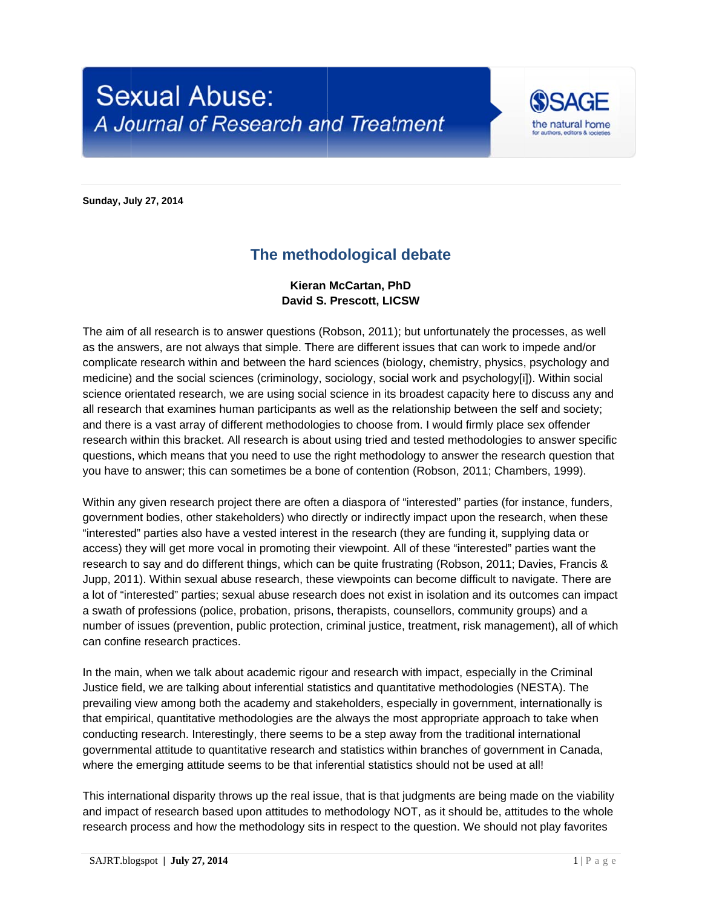## **Sexual Abuse:** A Journal of Research and Treatment



**Sunday, July 27, 2014** 

## The methodological debate

## Kieran McCartan, PhD David S. Prescott, LICSW

The aim of all research is to answer questions (Robson, 2011); but unfortunately the processes, as well as the answers, are not always that simple. There are different issues that can work to impede and/or complicate research within and between the hard sciences (biology, chemistry, physics, psychology and medicine) and the social sciences (criminology, sociology, social work and psychology[i]). Within social science orientated research, we are using social science in its broadest capacity here to discuss any and all research that examines human participants as well as the relationship between the self and society; and there is a vast array of different methodologies to choose from. I would firmly place sex offender research within this bracket. All research is about using tried and tested methodologies to answer specific questions, which means that you need to use the right methodology to answer the research question that you have to answer; this can sometimes be a bone of contention (Robson, 2011; Chambers, 1999).

Within any given research project there are often a diaspora of "interested" parties (for instance, funders, government bodies, other stakeholders) who directly or indirectly impact upon the research, when these "interested" parties also have a vested interest in the research (they are funding it, supplying data or access) they will get more vocal in promoting their viewpoint. All of these "interested" parties want the research to say and do different things, which can be quite frustrating (Robson, 2011; Davies, Francis & Jupp, 2011). Within sexual abuse research, these viewpoints can become difficult to navigate. There are a lot of "interested" parties; sexual abuse research does not exist in isolation and its outcomes can impact a swath of professions (police, probation, prisons, therapists, counsellors, community groups) and a number of issues (prevention, public protection, criminal justice, treatment, risk management), all of which can confine research practices.

In the main, when we talk about academic rigour and research with impact, especially in the Criminal Justice field, we are talking about inferential statistics and quantitative methodologies (NESTA). The prevailing view among both the academy and stakeholders, especially in government, internationally is that empirical, quantitative methodologies are the always the most appropriate approach to take when conducting research. Interestingly, there seems to be a step away from the traditional international governmental attitude to quantitative research and statistics within branches of government in Canada, where the emerging attitude seems to be that inferential statistics should not be used at all!

This international disparity throws up the real issue, that is that judgments are being made on the viability and impact of research based upon attitudes to methodology NOT, as it should be, attitudes to the whole research process and how the methodology sits in respect to the question. We should not play favorites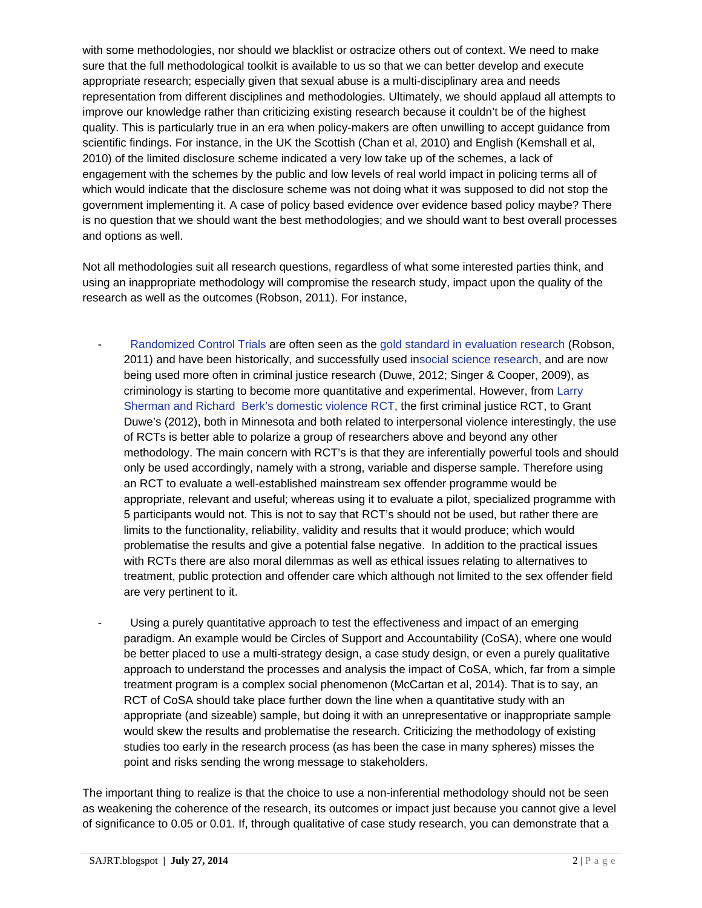with some methodologies, nor should we blacklist or ostracize others out of context. We need to make sure that the full methodological toolkit is available to us so that we can better develop and execute appropriate research; especially given that sexual abuse is a multi-disciplinary area and needs representation from different disciplines and methodologies. Ultimately, we should applaud all attempts to improve our knowledge rather than criticizing existing research because it couldn't be of the highest quality. This is particularly true in an era when policy-makers are often unwilling to accept guidance from scientific findings. For instance, in the UK the Scottish (Chan et al, 2010) and English (Kemshall et al, 2010) of the limited disclosure scheme indicated a very low take up of the schemes, a lack of engagement with the schemes by the public and low levels of real world impact in policing terms all of which would indicate that the disclosure scheme was not doing what it was supposed to did not stop the government implementing it. A case of policy based evidence over evidence based policy maybe? There is no question that we should want the best methodologies; and we should want to best overall processes and options as well.

Not all methodologies suit all research questions, regardless of what some interested parties think, and using an inappropriate methodology will compromise the research study, impact upon the quality of the research as well as the outcomes (Robson, 2011). For instance,

- Randomized Control Trials are often seen as the gold standard in evaluation research (Robson, 2011) and have been historically, and successfully used insocial science research, and are now being used more often in criminal justice research (Duwe, 2012; Singer & Cooper, 2009), as criminology is starting to become more quantitative and experimental. However, from Larry Sherman and Richard Berk's domestic violence RCT, the first criminal justice RCT, to Grant Duwe's (2012), both in Minnesota and both related to interpersonal violence interestingly, the use of RCTs is better able to polarize a group of researchers above and beyond any other methodology. The main concern with RCT's is that they are inferentially powerful tools and should only be used accordingly, namely with a strong, variable and disperse sample. Therefore using an RCT to evaluate a well-established mainstream sex offender programme would be appropriate, relevant and useful; whereas using it to evaluate a pilot, specialized programme with 5 participants would not. This is not to say that RCT's should not be used, but rather there are limits to the functionality, reliability, validity and results that it would produce; which would problematise the results and give a potential false negative. In addition to the practical issues with RCTs there are also moral dilemmas as well as ethical issues relating to alternatives to treatment, public protection and offender care which although not limited to the sex offender field are very pertinent to it.
	- Using a purely quantitative approach to test the effectiveness and impact of an emerging paradigm. An example would be Circles of Support and Accountability (CoSA), where one would be better placed to use a multi-strategy design, a case study design, or even a purely qualitative approach to understand the processes and analysis the impact of CoSA, which, far from a simple treatment program is a complex social phenomenon (McCartan et al, 2014). That is to say, an RCT of CoSA should take place further down the line when a quantitative study with an appropriate (and sizeable) sample, but doing it with an unrepresentative or inappropriate sample would skew the results and problematise the research. Criticizing the methodology of existing studies too early in the research process (as has been the case in many spheres) misses the point and risks sending the wrong message to stakeholders.

The important thing to realize is that the choice to use a non-inferential methodology should not be seen as weakening the coherence of the research, its outcomes or impact just because you cannot give a level of significance to 0.05 or 0.01. If, through qualitative of case study research, you can demonstrate that a